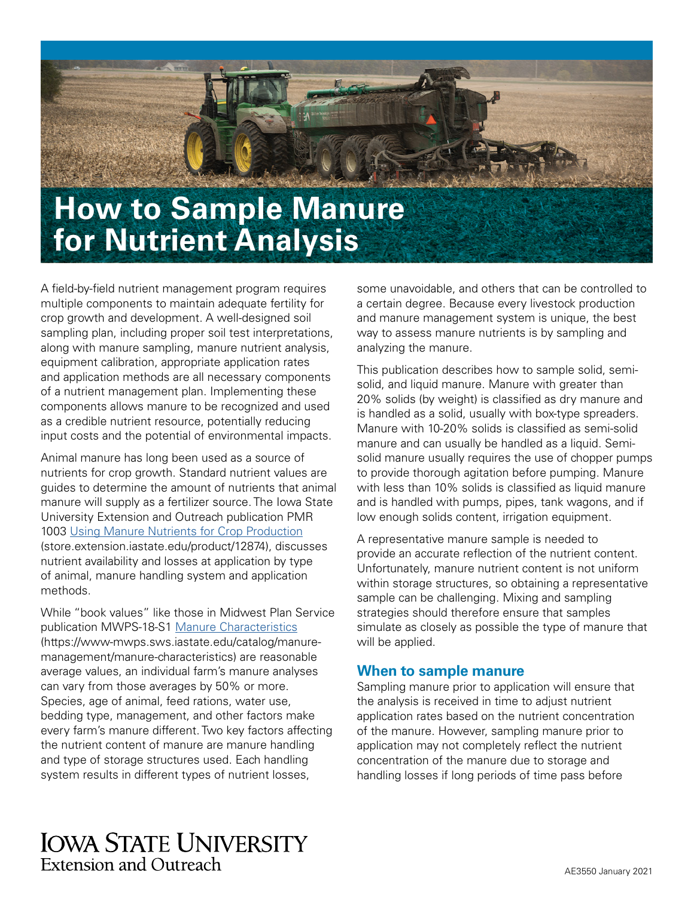

A field-by-field nutrient management program requires multiple components to maintain adequate fertility for crop growth and development. A well-designed soil sampling plan, including proper soil test interpretations, along with manure sampling, manure nutrient analysis, equipment calibration, appropriate application rates and application methods are all necessary components of a nutrient management plan. Implementing these components allows manure to be recognized and used as a credible nutrient resource, potentially reducing input costs and the potential of environmental impacts.

Animal manure has long been used as a source of nutrients for crop growth. Standard nutrient values are guides to determine the amount of nutrients that animal manure will supply as a fertilizer source. The Iowa State University Extension and Outreach publication PMR 1003 [Using Manure Nutrients for Crop Production](http://store.extension.iastate.edu/product/12874) (store.extension.iastate.edu/product/12874), discusses nutrient availability and losses at application by type of animal, manure handling system and application methods.

While "book values" like those in Midwest Plan Service publication MWPS-18-S1 [Manure Characteristics](https://www-mwps.sws.iastate.edu/catalog/manure-management/manure-characteristics) (https://www-mwps.sws.iastate.edu/catalog/manuremanagement/manure-characteristics) are reasonable average values, an individual farm's manure analyses can vary from those averages by 50% or more. Species, age of animal, feed rations, water use, bedding type, management, and other factors make every farm's manure different. Two key factors affecting the nutrient content of manure are manure handling and type of storage structures used. Each handling system results in different types of nutrient losses,

some unavoidable, and others that can be controlled to a certain degree. Because every livestock production and manure management system is unique, the best way to assess manure nutrients is by sampling and analyzing the manure.

This publication describes how to sample solid, semisolid, and liquid manure. Manure with greater than 20% solids (by weight) is classified as dry manure and is handled as a solid, usually with box-type spreaders. Manure with 10-20% solids is classified as semi-solid manure and can usually be handled as a liquid. Semisolid manure usually requires the use of chopper pumps to provide thorough agitation before pumping. Manure with less than 10% solids is classified as liquid manure and is handled with pumps, pipes, tank wagons, and if low enough solids content, irrigation equipment.

A representative manure sample is needed to provide an accurate reflection of the nutrient content. Unfortunately, manure nutrient content is not uniform within storage structures, so obtaining a representative sample can be challenging. Mixing and sampling strategies should therefore ensure that samples simulate as closely as possible the type of manure that will be applied.

### **When to sample manure**

Sampling manure prior to application will ensure that the analysis is received in time to adjust nutrient application rates based on the nutrient concentration of the manure. However, sampling manure prior to application may not completely reflect the nutrient concentration of the manure due to storage and handling losses if long periods of time pass before

# **IOWA STATE UNIVERSITY Extension and Outreach**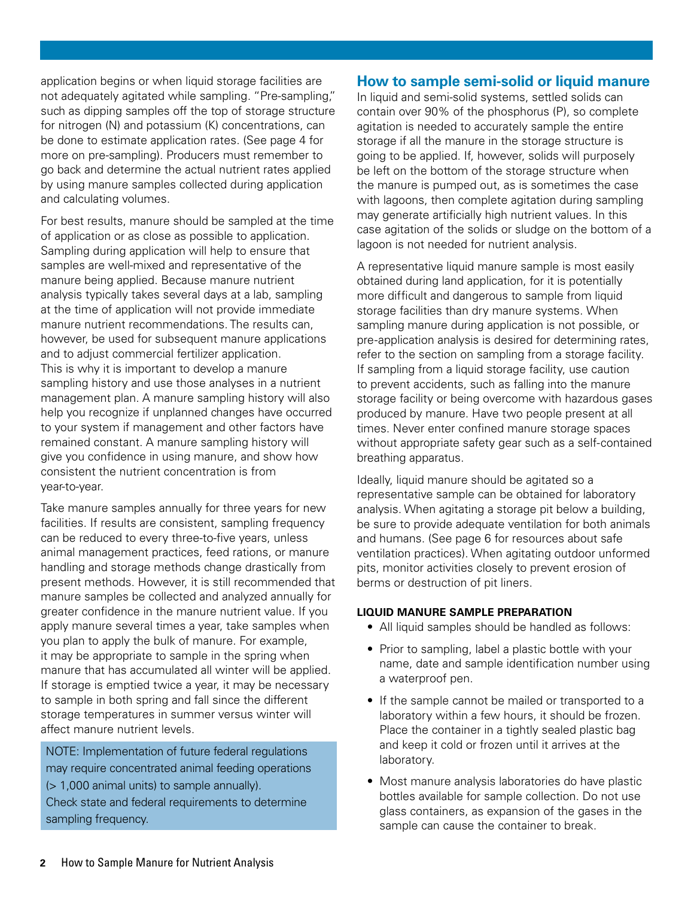application begins or when liquid storage facilities are not adequately agitated while sampling. "Pre-sampling," such as dipping samples off the top of storage structure for nitrogen (N) and potassium (K) concentrations, can be done to estimate application rates. (See page 4 for more on pre-sampling). Producers must remember to go back and determine the actual nutrient rates applied by using manure samples collected during application and calculating volumes.

For best results, manure should be sampled at the time of application or as close as possible to application. Sampling during application will help to ensure that samples are well-mixed and representative of the manure being applied. Because manure nutrient analysis typically takes several days at a lab, sampling at the time of application will not provide immediate manure nutrient recommendations. The results can, however, be used for subsequent manure applications and to adjust commercial fertilizer application. This is why it is important to develop a manure sampling history and use those analyses in a nutrient management plan. A manure sampling history will also help you recognize if unplanned changes have occurred to your system if management and other factors have remained constant. A manure sampling history will give you confidence in using manure, and show how consistent the nutrient concentration is from year-to-year.

Take manure samples annually for three years for new facilities. If results are consistent, sampling frequency can be reduced to every three-to-five years, unless animal management practices, feed rations, or manure handling and storage methods change drastically from present methods. However, it is still recommended that manure samples be collected and analyzed annually for greater confidence in the manure nutrient value. If you apply manure several times a year, take samples when you plan to apply the bulk of manure. For example, it may be appropriate to sample in the spring when manure that has accumulated all winter will be applied. If storage is emptied twice a year, it may be necessary to sample in both spring and fall since the different storage temperatures in summer versus winter will affect manure nutrient levels.

NOTE: Implementation of future federal regulations may require concentrated animal feeding operations (> 1,000 animal units) to sample annually). Check state and federal requirements to determine sampling frequency.

# **How to sample semi-solid or liquid manure**

In liquid and semi-solid systems, settled solids can contain over 90% of the phosphorus (P), so complete agitation is needed to accurately sample the entire storage if all the manure in the storage structure is going to be applied. If, however, solids will purposely be left on the bottom of the storage structure when the manure is pumped out, as is sometimes the case with lagoons, then complete agitation during sampling may generate artificially high nutrient values. In this case agitation of the solids or sludge on the bottom of a lagoon is not needed for nutrient analysis.

A representative liquid manure sample is most easily obtained during land application, for it is potentially more difficult and dangerous to sample from liquid storage facilities than dry manure systems. When sampling manure during application is not possible, or pre-application analysis is desired for determining rates, refer to the section on sampling from a storage facility. If sampling from a liquid storage facility, use caution to prevent accidents, such as falling into the manure storage facility or being overcome with hazardous gases produced by manure. Have two people present at all times. Never enter confined manure storage spaces without appropriate safety gear such as a self-contained breathing apparatus.

Ideally, liquid manure should be agitated so a representative sample can be obtained for laboratory analysis. When agitating a storage pit below a building, be sure to provide adequate ventilation for both animals and humans. (See page 6 for resources about safe ventilation practices). When agitating outdoor unformed pits, monitor activities closely to prevent erosion of berms or destruction of pit liners.

#### **LIQUID MANURE SAMPLE PREPARATION**

- All liquid samples should be handled as follows:
- Prior to sampling, label a plastic bottle with your name, date and sample identification number using a waterproof pen.
- If the sample cannot be mailed or transported to a laboratory within a few hours, it should be frozen. Place the container in a tightly sealed plastic bag and keep it cold or frozen until it arrives at the laboratory.
- Most manure analysis laboratories do have plastic bottles available for sample collection. Do not use glass containers, as expansion of the gases in the sample can cause the container to break.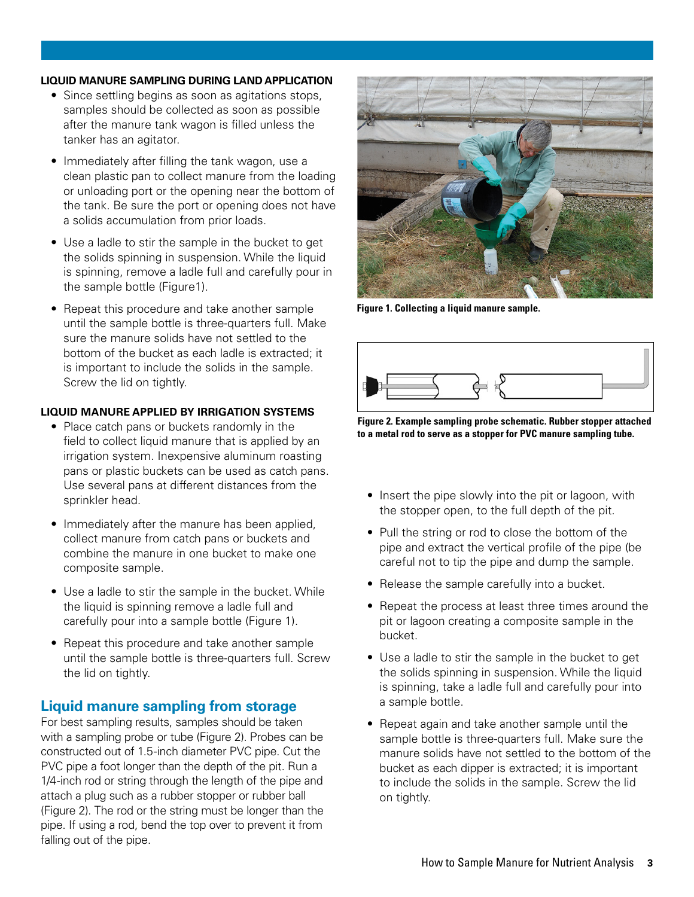#### **LIQUID MANURE SAMPLING DURING LAND APPLICATION**

- Since settling begins as soon as agitations stops, samples should be collected as soon as possible after the manure tank wagon is filled unless the tanker has an agitator.
- Immediately after filling the tank wagon, use a clean plastic pan to collect manure from the loading or unloading port or the opening near the bottom of the tank. Be sure the port or opening does not have a solids accumulation from prior loads.
- Use a ladle to stir the sample in the bucket to get the solids spinning in suspension. While the liquid is spinning, remove a ladle full and carefully pour in the sample bottle (Figure1).
- Repeat this procedure and take another sample until the sample bottle is three-quarters full. Make sure the manure solids have not settled to the bottom of the bucket as each ladle is extracted; it is important to include the solids in the sample. Screw the lid on tightly.

#### **LIQUID MANURE APPLIED BY IRRIGATION SYSTEMS**

- Place catch pans or buckets randomly in the field to collect liquid manure that is applied by an irrigation system. Inexpensive aluminum roasting pans or plastic buckets can be used as catch pans. Use several pans at different distances from the sprinkler head.
- Immediately after the manure has been applied, collect manure from catch pans or buckets and combine the manure in one bucket to make one composite sample.
- Use a ladle to stir the sample in the bucket. While the liquid is spinning remove a ladle full and carefully pour into a sample bottle (Figure 1).
- Repeat this procedure and take another sample until the sample bottle is three-quarters full. Screw the lid on tightly.

### **Liquid manure sampling from storage**

For best sampling results, samples should be taken with a sampling probe or tube (Figure 2). Probes can be constructed out of 1.5-inch diameter PVC pipe. Cut the PVC pipe a foot longer than the depth of the pit. Run a 1/4-inch rod or string through the length of the pipe and attach a plug such as a rubber stopper or rubber ball (Figure 2). The rod or the string must be longer than the pipe. If using a rod, bend the top over to prevent it from falling out of the pipe.



**Figure 1. Collecting a liquid manure sample.**



**Figure 2. Example sampling probe schematic. Rubber stopper attached to a metal rod to serve as a stopper for PVC manure sampling tube.**

- Insert the pipe slowly into the pit or lagoon, with the stopper open, to the full depth of the pit.
- Pull the string or rod to close the bottom of the pipe and extract the vertical profile of the pipe (be careful not to tip the pipe and dump the sample.
- Release the sample carefully into a bucket.
- Repeat the process at least three times around the pit or lagoon creating a composite sample in the bucket.
- Use a ladle to stir the sample in the bucket to get the solids spinning in suspension. While the liquid is spinning, take a ladle full and carefully pour into a sample bottle.
- Repeat again and take another sample until the sample bottle is three-quarters full. Make sure the manure solids have not settled to the bottom of the bucket as each dipper is extracted; it is important to include the solids in the sample. Screw the lid on tightly.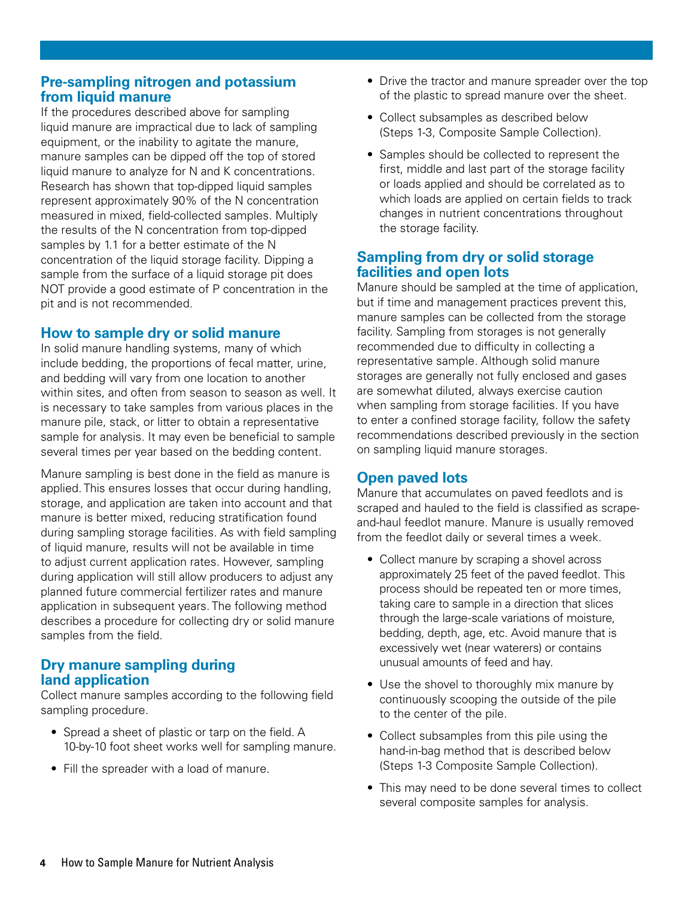### **Pre-sampling nitrogen and potassium from liquid manure**

If the procedures described above for sampling liquid manure are impractical due to lack of sampling equipment, or the inability to agitate the manure, manure samples can be dipped off the top of stored liquid manure to analyze for N and K concentrations. Research has shown that top-dipped liquid samples represent approximately 90% of the N concentration measured in mixed, field-collected samples. Multiply the results of the N concentration from top-dipped samples by 1.1 for a better estimate of the N concentration of the liquid storage facility. Dipping a sample from the surface of a liquid storage pit does NOT provide a good estimate of P concentration in the pit and is not recommended.

# **How to sample dry or solid manure**

In solid manure handling systems, many of which include bedding, the proportions of fecal matter, urine, and bedding will vary from one location to another within sites, and often from season to season as well. It is necessary to take samples from various places in the manure pile, stack, or litter to obtain a representative sample for analysis. It may even be beneficial to sample several times per year based on the bedding content.

Manure sampling is best done in the field as manure is applied. This ensures losses that occur during handling, storage, and application are taken into account and that manure is better mixed, reducing stratification found during sampling storage facilities. As with field sampling of liquid manure, results will not be available in time to adjust current application rates. However, sampling during application will still allow producers to adjust any planned future commercial fertilizer rates and manure application in subsequent years. The following method describes a procedure for collecting dry or solid manure samples from the field.

## **Dry manure sampling during land application**

Collect manure samples according to the following field sampling procedure.

- Spread a sheet of plastic or tarp on the field. A 10-by-10 foot sheet works well for sampling manure.
- Fill the spreader with a load of manure.
- Drive the tractor and manure spreader over the top of the plastic to spread manure over the sheet.
- Collect subsamples as described below (Steps 1-3, Composite Sample Collection).
- Samples should be collected to represent the first, middle and last part of the storage facility or loads applied and should be correlated as to which loads are applied on certain fields to track changes in nutrient concentrations throughout the storage facility.

# **Sampling from dry or solid storage facilities and open lots**

Manure should be sampled at the time of application, but if time and management practices prevent this, manure samples can be collected from the storage facility. Sampling from storages is not generally recommended due to difficulty in collecting a representative sample. Although solid manure storages are generally not fully enclosed and gases are somewhat diluted, always exercise caution when sampling from storage facilities. If you have to enter a confined storage facility, follow the safety recommendations described previously in the section on sampling liquid manure storages.

# **Open paved lots**

Manure that accumulates on paved feedlots and is scraped and hauled to the field is classified as scrapeand-haul feedlot manure. Manure is usually removed from the feedlot daily or several times a week.

- Collect manure by scraping a shovel across approximately 25 feet of the paved feedlot. This process should be repeated ten or more times, taking care to sample in a direction that slices through the large-scale variations of moisture, bedding, depth, age, etc. Avoid manure that is excessively wet (near waterers) or contains unusual amounts of feed and hay.
- Use the shovel to thoroughly mix manure by continuously scooping the outside of the pile to the center of the pile.
- Collect subsamples from this pile using the hand-in-bag method that is described below (Steps 1-3 Composite Sample Collection).
- This may need to be done several times to collect several composite samples for analysis.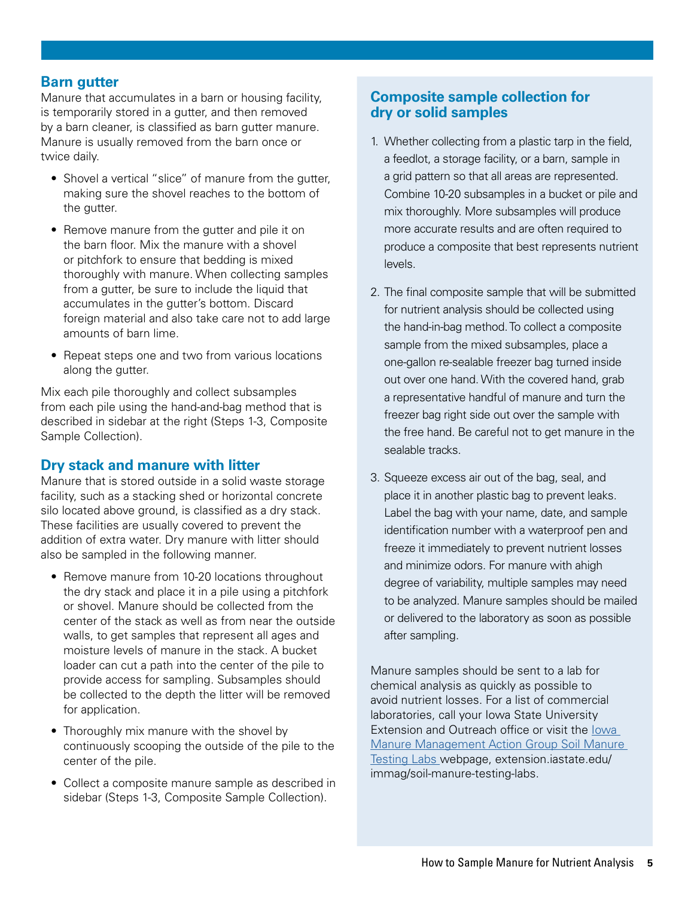### **Barn gutter**

Manure that accumulates in a barn or housing facility, is temporarily stored in a gutter, and then removed by a barn cleaner, is classified as barn gutter manure. Manure is usually removed from the barn once or twice daily.

- Shovel a vertical "slice" of manure from the gutter, making sure the shovel reaches to the bottom of the gutter.
- Remove manure from the gutter and pile it on the barn floor. Mix the manure with a shovel or pitchfork to ensure that bedding is mixed thoroughly with manure. When collecting samples from a gutter, be sure to include the liquid that accumulates in the gutter's bottom. Discard foreign material and also take care not to add large amounts of barn lime.
- Repeat steps one and two from various locations along the gutter.

Mix each pile thoroughly and collect subsamples from each pile using the hand-and-bag method that is described in sidebar at the right (Steps 1-3, Composite Sample Collection).

### **Dry stack and manure with litter**

Manure that is stored outside in a solid waste storage facility, such as a stacking shed or horizontal concrete silo located above ground, is classified as a dry stack. These facilities are usually covered to prevent the addition of extra water. Dry manure with litter should also be sampled in the following manner.

- Remove manure from 10-20 locations throughout the dry stack and place it in a pile using a pitchfork or shovel. Manure should be collected from the center of the stack as well as from near the outside walls, to get samples that represent all ages and moisture levels of manure in the stack. A bucket loader can cut a path into the center of the pile to provide access for sampling. Subsamples should be collected to the depth the litter will be removed for application.
- Thoroughly mix manure with the shovel by continuously scooping the outside of the pile to the center of the pile.
- Collect a composite manure sample as described in sidebar (Steps 1-3, Composite Sample Collection).

# **Composite sample collection for dry or solid samples**

- 1. Whether collecting from a plastic tarp in the field, a feedlot, a storage facility, or a barn, sample in a grid pattern so that all areas are represented. Combine 10-20 subsamples in a bucket or pile and mix thoroughly. More subsamples will produce more accurate results and are often required to produce a composite that best represents nutrient levels.
- 2. The final composite sample that will be submitted for nutrient analysis should be collected using the hand-in-bag method. To collect a composite sample from the mixed subsamples, place a one-gallon re-sealable freezer bag turned inside out over one hand. With the covered hand, grab a representative handful of manure and turn the freezer bag right side out over the sample with the free hand. Be careful not to get manure in the sealable tracks.
- 3. Squeeze excess air out of the bag, seal, and place it in another plastic bag to prevent leaks. Label the bag with your name, date, and sample identification number with a waterproof pen and freeze it immediately to prevent nutrient losses and minimize odors. For manure with ahigh degree of variability, multiple samples may need to be analyzed. Manure samples should be mailed or delivered to the laboratory as soon as possible after sampling.

Manure samples should be sent to a lab for chemical analysis as quickly as possible to avoid nutrient losses. For a list of commercial laboratories, call your Iowa State University Extension and Outreach office or visit the I[owa](http://extension.iastate.edu/immag/soil-manure-testing-labs)  [Manure Management Action Group Soil Manure](http://extension.iastate.edu/immag/soil-manure-testing-labs)  [Testing Labs](http://extension.iastate.edu/immag/soil-manure-testing-labs) webpage, extension.iastate.edu/ immag/soil-manure-testing-labs.